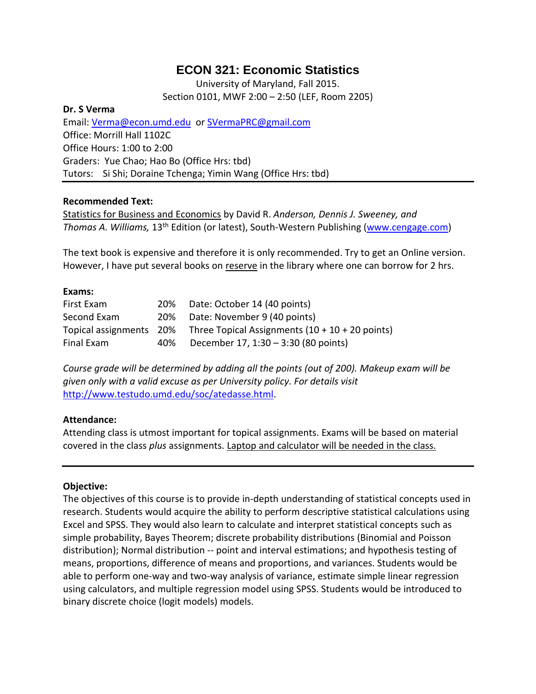# **ECON 321: Economic Statistics**

University of Maryland, Fall 2015. Section 0101, MWF 2:00 – 2:50 (LEF, Room 2205)

#### **Dr. S Verma**

Email: [Verma@econ.umd.edu](mailto:Verma@econ.umd.edu) or [SVermaPRC@gmail.com](mailto:SVermaPRC@gmail.com) Office: Morrill Hall 1102C Office Hours: 1:00 to 2:00 Graders: Yue Chao; Hao Bo (Office Hrs: tbd) Tutors: Si Shi; Doraine Tchenga; Yimin Wang (Office Hrs: tbd)

### **Recommended Text:**

Statistics for Business and Economics by David R. *Anderson, Dennis J. Sweeney, and*  Thomas A. Williams, 13<sup>th</sup> Edition (or latest), South-Western Publishing [\(www.cengage.com\)](http://www.cengage.com/)

The text book is expensive and therefore it is only recommended. Try to get an Online version. However, I have put several books on reserve in the library where one can borrow for 2 hrs.

#### **Exams:**

| First Exam  |     | 20% Date: October 14 (40 points)                                           |
|-------------|-----|----------------------------------------------------------------------------|
| Second Exam |     | 20% Date: November 9 (40 points)                                           |
|             |     | Topical assignments $20\%$ Three Topical Assignments (10 + 10 + 20 points) |
| Final Exam  | 40% | December 17, 1:30 - 3:30 (80 points)                                       |

*Course grade will be determined by adding all the points (out of 200). Makeup exam will be given only with a valid excuse as per University policy. For details visit* [http://www.testudo.umd.edu/soc/atedasse.html.](http://www.testudo.umd.edu/soc/atedasse.html)

#### **Attendance:**

Attending class is utmost important for topical assignments. Exams will be based on material covered in the class *plus* assignments. Laptop and calculator will be needed in the class.

#### **Objective:**

The objectives of this course is to provide in-depth understanding of statistical concepts used in research. Students would acquire the ability to perform descriptive statistical calculations using Excel and SPSS. They would also learn to calculate and interpret statistical concepts such as simple probability, Bayes Theorem; discrete probability distributions (Binomial and Poisson distribution); Normal distribution -- point and interval estimations; and hypothesis testing of means, proportions, difference of means and proportions, and variances. Students would be able to perform one-way and two-way analysis of variance, estimate simple linear regression using calculators, and multiple regression model using SPSS. Students would be introduced to binary discrete choice (logit models) models.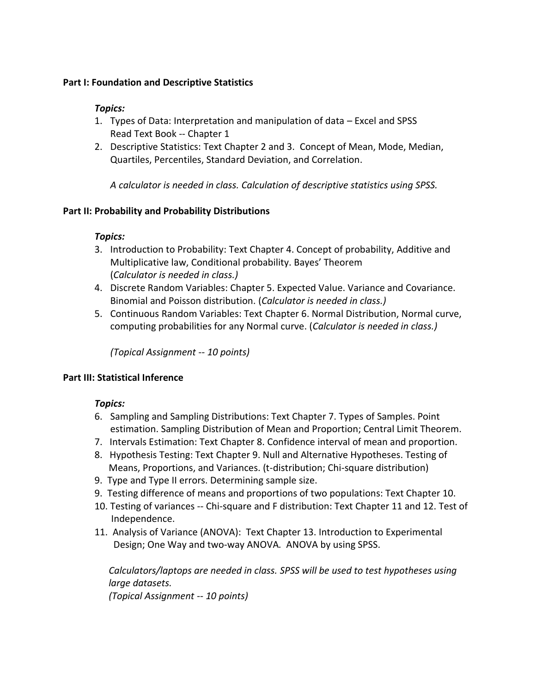### **Part I: Foundation and Descriptive Statistics**

### *Topics:*

- 1. Types of Data: Interpretation and manipulation of data Excel and SPSS Read Text Book -- Chapter 1
- 2. Descriptive Statistics: Text Chapter 2 and 3. Concept of Mean, Mode, Median, Quartiles, Percentiles, Standard Deviation, and Correlation.

*A calculator is needed in class. Calculation of descriptive statistics using SPSS.* 

# **Part II: Probability and Probability Distributions**

# *Topics:*

- 3. Introduction to Probability: Text Chapter 4. Concept of probability, Additive and Multiplicative law, Conditional probability. Bayes' Theorem (*Calculator is needed in class.)*
- 4. Discrete Random Variables: Chapter 5. Expected Value. Variance and Covariance. Binomial and Poisson distribution. (*Calculator is needed in class.)*
- 5. Continuous Random Variables: Text Chapter 6. Normal Distribution, Normal curve, computing probabilities for any Normal curve. (*Calculator is needed in class.)*

*(Topical Assignment -- 10 points)*

# **Part III: Statistical Inference**

# *Topics:*

- 6. Sampling and Sampling Distributions: Text Chapter 7. Types of Samples. Point estimation. Sampling Distribution of Mean and Proportion; Central Limit Theorem.
- 7. Intervals Estimation: Text Chapter 8. Confidence interval of mean and proportion.
- 8. Hypothesis Testing: Text Chapter 9. Null and Alternative Hypotheses. Testing of Means, Proportions, and Variances. (t-distribution; Chi-square distribution)
- 9. Type and Type II errors. Determining sample size.
- 9. Testing difference of means and proportions of two populations: Text Chapter 10.
- 10. Testing of variances -- Chi-square and F distribution: Text Chapter 11 and 12. Test of Independence.
- 11. Analysis of Variance (ANOVA): Text Chapter 13. Introduction to Experimental Design; One Way and two-way ANOVA*.* ANOVA by using SPSS.

*Calculators/laptops are needed in class. SPSS will be used to test hypotheses using large datasets.* 

*(Topical Assignment -- 10 points)*